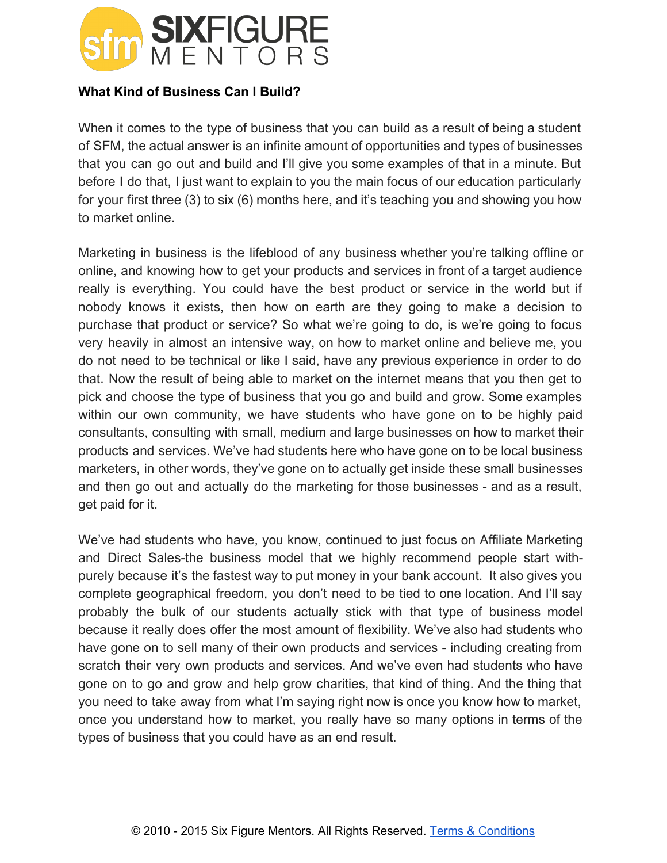

## **What Kind of Business Can I Build?**

When it comes to the type of business that you can build as a result of being a student of SFM, the actual answer is an infinite amount of opportunities and types of businesses that you can go out and build and I'll give you some examples of that in a minute. But before I do that, I just want to explain to you the main focus of our education particularly for your first three (3) to six (6) months here, and it's teaching you and showing you how to market online.

Marketing in business is the lifeblood of any business whether you're talking offline or online, and knowing how to get your products and services in front of a target audience really is everything. You could have the best product or service in the world but if nobody knows it exists, then how on earth are they going to make a decision to purchase that product or service? So what we're going to do, is we're going to focus very heavily in almost an intensive way, on how to market online and believe me, you do not need to be technical or like I said, have any previous experience in order to do that. Now the result of being able to market on the internet means that you then get to pick and choose the type of business that you go and build and grow. Some examples within our own community, we have students who have gone on to be highly paid consultants, consulting with small, medium and large businesses on how to market their products and services. We've had students here who have gone on to be local business marketers, in other words, they've gone on to actually get inside these small businesses and then go out and actually do the marketing for those businesses - and as a result, get paid for it.

We've had students who have, you know, continued to just focus on Affiliate Marketing and Direct Sales-the business model that we highly recommend people start withpurely because it's the fastest way to put money in your bank account. It also gives you complete geographical freedom, you don't need to be tied to one location. And I'll say probably the bulk of our students actually stick with that type of business model because it really does offer the most amount of flexibility. We've also had students who have gone on to sell many of their own products and services - including creating from scratch their very own products and services. And we've even had students who have gone on to go and grow and help grow charities, that kind of thing. And the thing that you need to take away from what I'm saying right now is once you know how to market, once you understand how to market, you really have so many options in terms of the types of business that you could have as an end result.